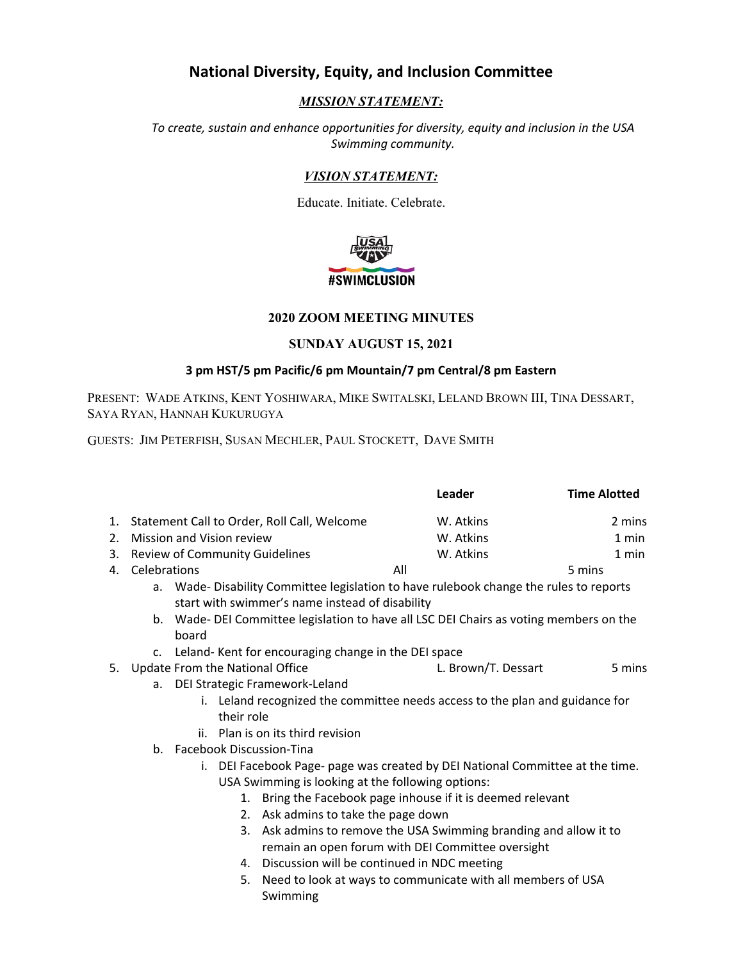# **National Diversity, Equity, and Inclusion Committee**

## *MISSION STATEMENT:*

*To create, sustain and enhance opportunities for diversity, equity and inclusion in the USA Swimming community.*

## *VISION STATEMENT:*

Educate. Initiate. Celebrate.



### **2020 ZOOM MEETING MINUTES**

#### **SUNDAY AUGUST 15, 2021**

### **3 pm HST/5 pm Pacific/6 pm Mountain/7 pm Central/8 pm Eastern**

PRESENT: WADE ATKINS, KENT YOSHIWARA, MIKE SWITALSKI, LELAND BROWN III, TINA DESSART, SAYA RYAN, HANNAH KUKURUGYA

GUESTS: JIM PETERFISH, SUSAN MECHLER, PAUL STOCKETT, DAVE SMITH

|         |                                                                                                                                                             |                                                   |                                                | Leader                                                         | <b>Time Alotted</b> |
|---------|-------------------------------------------------------------------------------------------------------------------------------------------------------------|---------------------------------------------------|------------------------------------------------|----------------------------------------------------------------|---------------------|
| 1.      | Statement Call to Order, Roll Call, Welcome                                                                                                                 |                                                   |                                                | W. Atkins                                                      | 2 mins              |
| $2_{-}$ | Mission and Vision review                                                                                                                                   |                                                   |                                                | W. Atkins                                                      | 1 min               |
| 3.      | <b>Review of Community Guidelines</b>                                                                                                                       |                                                   |                                                | W. Atkins                                                      | 1 min               |
|         | 4. Celebrations                                                                                                                                             |                                                   |                                                | All                                                            | 5 mins              |
|         | a. Wade-Disability Committee legislation to have rulebook change the rules to reports                                                                       |                                                   |                                                |                                                                |                     |
|         | start with swimmer's name instead of disability                                                                                                             |                                                   |                                                |                                                                |                     |
|         | b. Wade- DEI Committee legislation to have all LSC DEI Chairs as voting members on the                                                                      |                                                   |                                                |                                                                |                     |
|         | board                                                                                                                                                       |                                                   |                                                |                                                                |                     |
|         | c. Leland-Kent for encouraging change in the DEI space                                                                                                      |                                                   |                                                |                                                                |                     |
| 5.      | Update From the National Office                                                                                                                             |                                                   | L. Brown/T. Dessart                            | 5 mins                                                         |                     |
|         | DEI Strategic Framework-Leland<br>a.<br>i. Leland recognized the committee needs access to the plan and guidance for                                        |                                                   |                                                |                                                                |                     |
|         |                                                                                                                                                             |                                                   |                                                |                                                                |                     |
|         |                                                                                                                                                             | their role                                        |                                                |                                                                |                     |
|         | ii. Plan is on its third revision<br><b>Facebook Discussion-Tina</b><br>b.<br>i. DEI Facebook Page- page was created by DEI National Committee at the time. |                                                   |                                                |                                                                |                     |
|         |                                                                                                                                                             |                                                   |                                                |                                                                |                     |
|         |                                                                                                                                                             |                                                   |                                                |                                                                |                     |
|         |                                                                                                                                                             | USA Swimming is looking at the following options: |                                                |                                                                |                     |
|         |                                                                                                                                                             | 1.                                                |                                                | Bring the Facebook page inhouse if it is deemed relevant       |                     |
|         |                                                                                                                                                             |                                                   | 2. Ask admins to take the page down            |                                                                |                     |
|         |                                                                                                                                                             | 3.                                                |                                                | Ask admins to remove the USA Swimming branding and allow it to |                     |
|         |                                                                                                                                                             |                                                   |                                                | remain an open forum with DEI Committee oversight              |                     |
|         |                                                                                                                                                             |                                                   | 4. Discussion will be continued in NDC meeting |                                                                |                     |
|         |                                                                                                                                                             |                                                   |                                                |                                                                |                     |

5. Need to look at ways to communicate with all members of USA Swimming